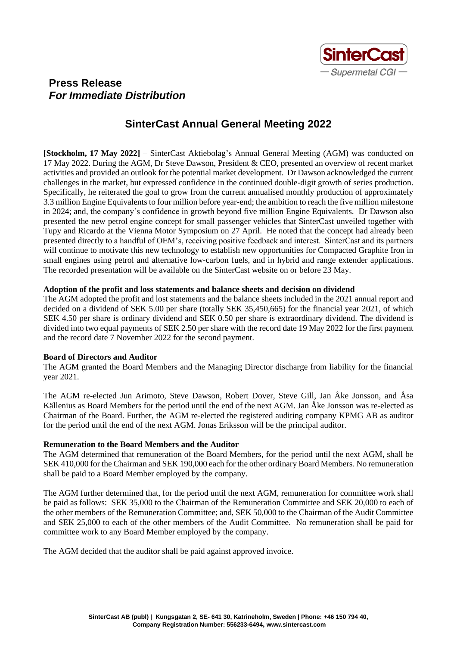

## **Press Release**  *For Immediate Distribution*

# **SinterCast Annual General Meeting 2022**

**[Stockholm, 17 May 2022]** – SinterCast Aktiebolag's Annual General Meeting (AGM) was conducted on 17 May 2022. During the AGM, Dr Steve Dawson, President & CEO, presented an overview of recent market activities and provided an outlook for the potential market development. Dr Dawson acknowledged the current challenges in the market, but expressed confidence in the continued double-digit growth of series production. Specifically, he reiterated the goal to grow from the current annualised monthly production of approximately 3.3 million Engine Equivalents to four million before year-end; the ambition to reach the five million milestone in 2024; and, the company's confidence in growth beyond five million Engine Equivalents. Dr Dawson also presented the new petrol engine concept for small passenger vehicles that SinterCast unveiled together with Tupy and Ricardo at the Vienna Motor Symposium on 27 April. He noted that the concept had already been presented directly to a handful of OEM's, receiving positive feedback and interest. SinterCast and its partners will continue to motivate this new technology to establish new opportunities for Compacted Graphite Iron in small engines using petrol and alternative low-carbon fuels, and in hybrid and range extender applications. The recorded presentation will be available on the SinterCast website on or before 23 May.

### **Adoption of the profit and loss statements and balance sheets and decision on dividend**

The AGM adopted the profit and lost statements and the balance sheets included in the 2021 annual report and decided on a dividend of SEK 5.00 per share (totally SEK 35,450,665) for the financial year 2021, of which SEK 4.50 per share is ordinary dividend and SEK 0.50 per share is extraordinary dividend. The dividend is divided into two equal payments of SEK 2.50 per share with the record date 19 May 2022 for the first payment and the record date 7 November 2022 for the second payment.

## **Board of Directors and Auditor**

The AGM granted the Board Members and the Managing Director discharge from liability for the financial year 2021.

The AGM re-elected Jun Arimoto, Steve Dawson, Robert Dover, Steve Gill, Jan Åke Jonsson, and Åsa Källenius as Board Members for the period until the end of the next AGM. Jan Åke Jonsson was re-elected as Chairman of the Board. Further, the AGM re-elected the registered auditing company KPMG AB as auditor for the period until the end of the next AGM. Jonas Eriksson will be the principal auditor.

### **Remuneration to the Board Members and the Auditor**

The AGM determined that remuneration of the Board Members, for the period until the next AGM, shall be SEK 410,000 for the Chairman and SEK 190,000 each for the other ordinary Board Members. No remuneration shall be paid to a Board Member employed by the company.

The AGM further determined that, for the period until the next AGM, remuneration for committee work shall be paid as follows: SEK 35,000 to the Chairman of the Remuneration Committee and SEK 20,000 to each of the other members of the Remuneration Committee; and, SEK 50,000 to the Chairman of the Audit Committee and SEK 25,000 to each of the other members of the Audit Committee. No remuneration shall be paid for committee work to any Board Member employed by the company.

The AGM decided that the auditor shall be paid against approved invoice.